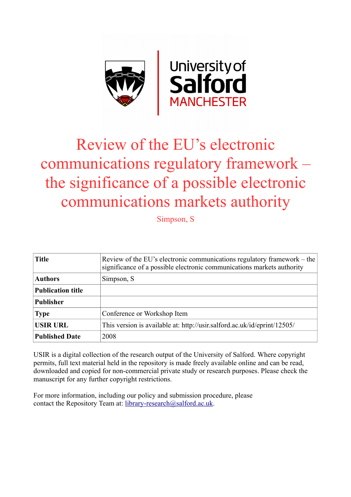

# Review of the EU's electronic communications regulatory framework – the significance of a possible electronic communications markets authority

Simpson, S

| <b>Title</b>             | Review of the EU's electronic communications regulatory framework – the<br>significance of a possible electronic communications markets authority |
|--------------------------|---------------------------------------------------------------------------------------------------------------------------------------------------|
| <b>Authors</b>           | Simpson, S                                                                                                                                        |
| <b>Publication title</b> |                                                                                                                                                   |
| <b>Publisher</b>         |                                                                                                                                                   |
| <b>Type</b>              | Conference or Workshop Item                                                                                                                       |
| <b>USIR URL</b>          | This version is available at: http://usir.salford.ac.uk/id/eprint/12505/                                                                          |
| <b>Published Date</b>    | 2008                                                                                                                                              |

USIR is a digital collection of the research output of the University of Salford. Where copyright permits, full text material held in the repository is made freely available online and can be read, downloaded and copied for non-commercial private study or research purposes. Please check the manuscript for any further copyright restrictions.

For more information, including our policy and submission procedure, please contact the Repository Team at: [library-research@salford.ac.uk.](mailto:library-research@salford.ac.uk)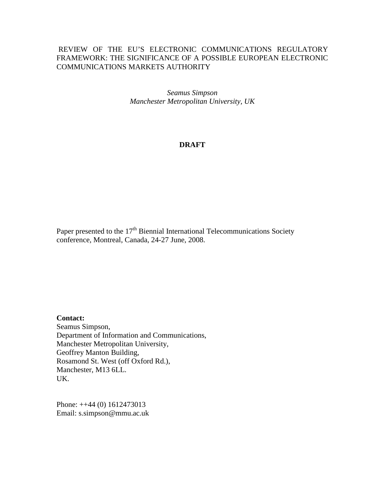# REVIEW OF THE EU'S ELECTRONIC COMMUNICATIONS REGULATORY FRAMEWORK: THE SIGNIFICANCE OF A POSSIBLE EUROPEAN ELECTRONIC COMMUNICATIONS MARKETS AUTHORITY

*Seamus Simpson Manchester Metropolitan University, UK*

## **DRAFT**

Paper presented to the  $17<sup>th</sup>$  Biennial International Telecommunications Society conference, Montreal, Canada, 24-27 June, 2008.

**Contact:**

Seamus Simpson, Department of Information and Communications, Manchester Metropolitan University, Geoffrey Manton Building, Rosamond St. West (off Oxford Rd.), Manchester, M13 6LL. UK.

Phone: ++44 (0) 1612473013 Email: s.simpson@mmu.ac.uk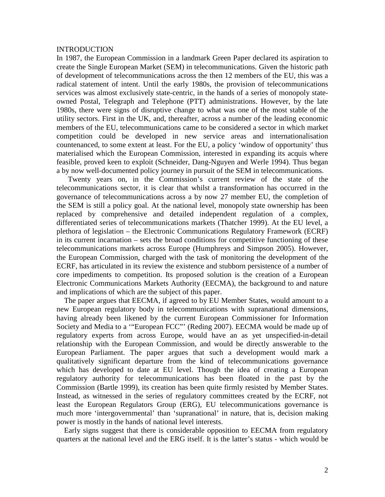#### INTRODUCTION

In 1987, the European Commission in a landmark Green Paper declared its aspiration to create the Single European Market (SEM) in telecommunications. Given the historic path of development of telecommunications across the then 12 members of the EU, this was a radical statement of intent. Until the early 1980s, the provision of telecommunications services was almost exclusively state-centric, in the hands of a series of monopoly stateowned Postal, Telegraph and Telephone (PTT) administrations. However, by the late 1980s, there were signs of disruptive change to what was one of the most stable of the utility sectors. First in the UK, and, thereafter, across a number of the leading economic members of the EU, telecommunications came to be considered a sector in which market competition could be developed in new service areas and internationalisation countenanced, to some extent at least. For the EU, a policy 'window of opportunity' thus materialised which the European Commission, interested in expanding its acquis where feasible, proved keen to exploit (Schneider, Dang-Nguyen and Werle 1994). Thus began a by now well-documented policy journey in pursuit of the SEM in telecommunications.

Twenty years on, in the Commission's current review of the state of the telecommunications sector, it is clear that whilst a transformation has occurred in the governance of telecommunications across a by now 27 member EU, the completion of the SEM is still a policy goal. At the national level, monopoly state ownership has been replaced by comprehensive and detailed independent regulation of a complex, differentiated series of telecommunications markets (Thatcher 1999). At the EU level, a plethora of legislation – the Electronic Communications Regulatory Framework (ECRF) in its current incarnation – sets the broad conditions for competitive functioning of these telecommunications markets across Europe (Humphreys and Simpson 2005). However, the European Commission, charged with the task of monitoring the development of the ECRF, has articulated in its review the existence and stubborn persistence of a number of core impediments to competition. Its proposed solution is the creation of a European Electronic Communications Markets Authority (EECMA), the background to and nature and implications of which are the subject of this paper.

The paper argues that EECMA, if agreed to by EU Member States, would amount to a new European regulatory body in telecommunications with supranational dimensions, having already been likened by the current European Commissioner for Information Society and Media to a '"European FCC"' (Reding 2007). EECMA would be made up of regulatory experts from across Europe, would have an as yet unspecified-in-detail relationship with the European Commission, and would be directly answerable to the European Parliament. The paper argues that such a development would mark a qualitatively significant departure from the kind of telecommunications governance which has developed to date at EU level. Though the idea of creating a European regulatory authority for telecommunications has been floated in the past by the Commission (Bartle 1999), its creation has been quite firmly resisted by Member States. Instead, as witnessed in the series of regulatory committees created by the ECRF, not least the European Regulators Group (ERG), EU telecommunications governance is much more 'intergovernmental' than 'supranational' in nature, that is, decision making power is mostly in the hands of national level interests.

Early signs suggest that there is considerable opposition to EECMA from regulatory quarters at the national level and the ERG itself. It is the latter's status - which would be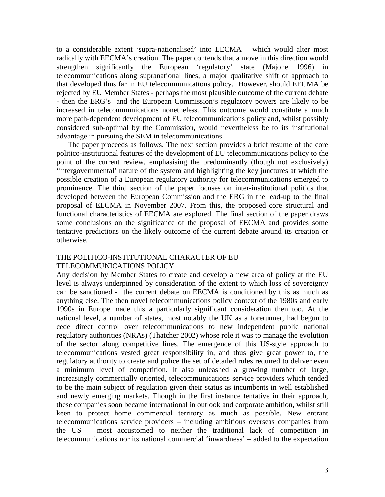to a considerable extent 'supra-nationalised' into EECMA – which would alter most radically with EECMA's creation. The paper contends that a move in this direction would strengthen significantly the European 'regulatory' state (Majone 1996) in telecommunications along supranational lines, a major qualitative shift of approach to that developed thus far in EU telecommunications policy. However, should EECMA be rejected by EU Member States - perhaps the most plausible outcome of the current debate - then the ERG's and the European Commission's regulatory powers are likely to be increased in telecommunications nonetheless. This outcome would constitute a much more path-dependent development of EU telecommunications policy and, whilst possibly considered sub-optimal by the Commission, would nevertheless be to its institutional advantage in pursuing the SEM in telecommunications.

The paper proceeds as follows. The next section provides a brief resume of the core politico-institutional features of the development of EU telecommunications policy to the point of the current review, emphasising the predominantly (though not exclusively) 'intergovernmental' nature of the system and highlighting the key junctures at which the possible creation of a European regulatory authority for telecommunications emerged to prominence. The third section of the paper focuses on inter-institutional politics that developed between the European Commission and the ERG in the lead-up to the final proposal of EECMA in November 2007. From this, the proposed core structural and functional characteristics of EECMA are explored. The final section of the paper draws some conclusions on the significance of the proposal of EECMA and provides some tentative predictions on the likely outcome of the current debate around its creation or otherwise.

## THE POLITICO-INSTITUTIONAL CHARACTER OF EU TELECOMMUNICATIONS POLICY

Any decision by Member States to create and develop a new area of policy at the EU level is always underpinned by consideration of the extent to which loss of sovereignty can be sanctioned - the current debate on EECMA is conditioned by this as much as anything else. The then novel telecommunications policy context of the 1980s and early 1990s in Europe made this a particularly significant consideration then too. At the national level, a number of states, most notably the UK as a forerunner, had begun to cede direct control over telecommunications to new independent public national regulatory authorities (NRAs) (Thatcher 2002) whose role it was to manage the evolution of the sector along competitive lines. The emergence of this US-style approach to telecommunications vested great responsibility in, and thus give great power to, the regulatory authority to create and police the set of detailed rules required to deliver even a minimum level of competition. It also unleashed a growing number of large, increasingly commercially oriented, telecommunications service providers which tended to be the main subject of regulation given their status as incumbents in well established and newly emerging markets. Though in the first instance tentative in their approach, these companies soon became international in outlook and corporate ambition, whilst still keen to protect home commercial territory as much as possible. New entrant telecommunications service providers – including ambitious overseas companies from the US – most accustomed to neither the traditional lack of competition in telecommunications nor its national commercial 'inwardness' – added to the expectation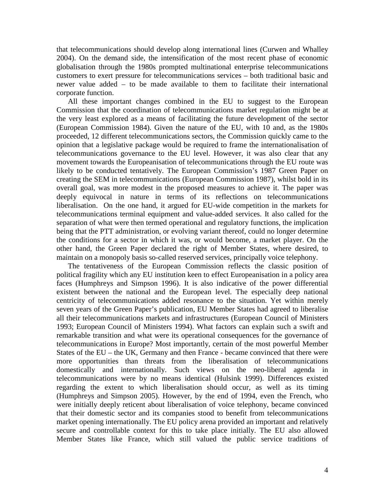that telecommunications should develop along international lines (Curwen and Whalley 2004). On the demand side, the intensification of the most recent phase of economic globalisation through the 1980s prompted multinational enterprise telecommunications customers to exert pressure for telecommunications services – both traditional basic and newer value added – to be made available to them to facilitate their international corporate function.

All these important changes combined in the EU to suggest to the European Commission that the coordination of telecommunications market regulation might be at the very least explored as a means of facilitating the future development of the sector (European Commission 1984). Given the nature of the EU, with 10 and, as the 1980s proceeded, 12 different telecommunications sectors, the Commission quickly came to the opinion that a legislative package would be required to frame the internationalisation of telecommunications governance to the EU level. However, it was also clear that any movement towards the Europeanisation of telecommunications through the EU route was likely to be conducted tentatively. The European Commission's 1987 Green Paper on creating the SEM in telecommunications (European Commission 1987), whilst bold in its overall goal, was more modest in the proposed measures to achieve it. The paper was deeply equivocal in nature in terms of its reflections on telecommunications liberalisation. On the one hand, it argued for EU-wide competition in the markets for telecommunications terminal equipment and value-added services. It also called for the separation of what were then termed operational and regulatory functions, the implication being that the PTT administration, or evolving variant thereof, could no longer determine the conditions for a sector in which it was, or would become, a market player. On the other hand, the Green Paper declared the right of Member States, where desired, to maintain on a monopoly basis so-called reserved services, principally voice telephony.

The tentativeness of the European Commission reflects the classic position of political fragility which any EU institution keen to effect Europeanisation in a policy area faces (Humphreys and Simpson 1996). It is also indicative of the power differential existent between the national and the European level. The especially deep national centricity of telecommunications added resonance to the situation. Yet within merely seven years of the Green Paper's publication, EU Member States had agreed to liberalise all their telecommunications markets and infrastructures (European Council of Ministers 1993; European Council of Ministers 1994). What factors can explain such a swift and remarkable transition and what were its operational consequences for the governance of telecommunications in Europe? Most importantly, certain of the most powerful Member States of the EU – the UK, Germany and then France - became convinced that there were more opportunities than threats from the liberalisation of telecommunications domestically and internationally. Such views on the neo-liberal agenda in telecommunications were by no means identical (Hulsink 1999). Differences existed regarding the extent to which liberalisation should occur, as well as its timing (Humphreys and Simpson 2005). However, by the end of 1994, even the French, who were initially deeply reticent about liberalisation of voice telephony, became convinced that their domestic sector and its companies stood to benefit from telecommunications market opening internationally. The EU policy arena provided an important and relatively secure and controllable context for this to take place initially. The EU also allowed Member States like France, which still valued the public service traditions of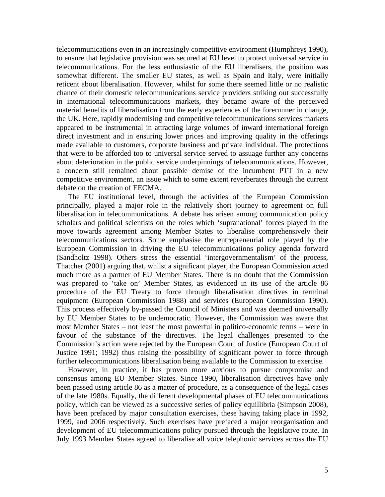telecommunications even in an increasingly competitive environment (Humphreys 1990), to ensure that legislative provision was secured at EU level to protect universal service in telecommunications. For the less enthusiastic of the EU liberalisers, the position was somewhat different. The smaller EU states, as well as Spain and Italy, were initially reticent about liberalisation. However, whilst for some there seemed little or no realistic chance of their domestic telecommunications service providers striking out successfully in international telecommunications markets, they became aware of the perceived material benefits of liberalisation from the early experiences of the forerunner in change, the UK. Here, rapidly modernising and competitive telecommunications services markets appeared to be instrumental in attracting large volumes of inward international foreign direct investment and in ensuring lower prices and improving quality in the offerings made available to customers, corporate business and private individual. The protections that were to be afforded too to universal service served to assuage further any concerns about deterioration in the public service underpinnings of telecommunications. However, a concern still remained about possible demise of the incumbent PTT in a new competitive environment, an issue which to some extent reverberates through the current debate on the creation of EECMA.

The EU institutional level, through the activities of the European Commission principally, played a major role in the relatively short journey to agreement on full liberalisation in telecommunications. A debate has arisen among communication policy scholars and political scientists on the roles which 'supranational' forces played in the move towards agreement among Member States to liberalise comprehensively their telecommunications sectors. Some emphasise the entrepreneurial role played by the European Commission in driving the EU telecommunications policy agenda forward (Sandholtz 1998). Others stress the essential 'intergovernmentalism' of the process, Thatcher (2001) arguing that, whilst a significant player, the European Commission acted much more as a partner of EU Member States. There is no doubt that the Commission was prepared to 'take on' Member States, as evidenced in its use of the article 86 procedure of the EU Treaty to force through liberalisation directives in terminal equipment (European Commission 1988) and services (European Commission 1990). This process effectively by-passed the Council of Ministers and was deemed universally by EU Member States to be undemocratic. However, the Commission was aware that most Member States – not least the most powerful in politico-economic terms – were in favour of the substance of the directives. The legal challenges presented to the Commission's action were rejected by the European Court of Justice (European Court of Justice 1991; 1992) thus raising the possibility of significant power to force through further telecommunications liberalisation being available to the Commission to exercise.

However, in practice, it has proven more anxious to pursue compromise and consensus among EU Member States. Since 1990, liberalisation directives have only been passed using article 86 as a matter of procedure, as a consequence of the legal cases of the late 1980s. Equally, the different developmental phases of EU telecommunications policy, which can be viewed as a successive series of policy equillibria (Simpson 2008), have been prefaced by major consultation exercises, these having taking place in 1992, 1999, and 2006 respectively. Such exercises have prefaced a major reorganisation and development of EU telecommunications policy pursued through the legislative route. In July 1993 Member States agreed to liberalise all voice telephonic services across the EU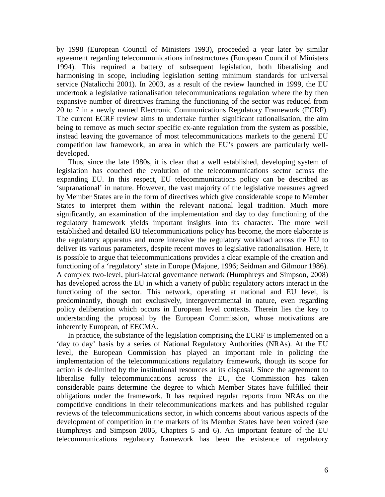by 1998 (European Council of Ministers 1993), proceeded a year later by similar agreement regarding telecommunications infrastructures (European Council of Ministers 1994). This required a battery of subsequent legislation, both liberalising and harmonising in scope, including legislation setting minimum standards for universal service (Natalicchi 2001). In 2003, as a result of the review launched in 1999, the EU undertook a legislative rationalisation telecommunications regulation where the by then expansive number of directives framing the functioning of the sector was reduced from 20 to 7 in a newly named Electronic Communications Regulatory Framework (ECRF). The current ECRF review aims to undertake further significant rationalisation, the aim being to remove as much sector specific ex-ante regulation from the system as possible, instead leaving the governance of most telecommunications markets to the general EU competition law framework, an area in which the EU's powers are particularly welldeveloped.

Thus, since the late 1980s, it is clear that a well established, developing system of legislation has couched the evolution of the telecommunications sector across the expanding EU. In this respect, EU telecommunications policy can be described as 'supranational' in nature. However, the vast majority of the legislative measures agreed by Member States are in the form of directives which give considerable scope to Member States to interpret them within the relevant national legal tradition. Much more significantly, an examination of the implementation and day to day functioning of the regulatory framework yields important insights into its character. The more well established and detailed EU telecommunications policy has become, the more elaborate is the regulatory apparatus and more intensive the regulatory workload across the EU to deliver its various parameters, despite recent moves to legislative rationalisation. Here, it is possible to argue that telecommunications provides a clear example of the creation and functioning of a 'regulatory' state in Europe (Majone, 1996; Seidman and Gilmour 1986). A complex two-level, pluri-lateral governance network (Humphreys and Simpson, 2008) has developed across the EU in which a variety of public regulatory actors interact in the functioning of the sector. This network, operating at national and EU level, is predominantly, though not exclusively, intergovernmental in nature, even regarding policy deliberation which occurs in European level contexts. Therein lies the key to understanding the proposal by the European Commission, whose motivations are inherently European, of EECMA.

In practice, the substance of the legislation comprising the ECRF is implemented on a 'day to day' basis by a series of National Regulatory Authorities (NRAs). At the EU level, the European Commission has played an important role in policing the implementation of the telecommunications regulatory framework, though its scope for action is de-limited by the institutional resources at its disposal. Since the agreement to liberalise fully telecommunications across the EU, the Commission has taken considerable pains determine the degree to which Member States have fulfilled their obligations under the framework. It has required regular reports from NRAs on the competitive conditions in their telecommunications markets and has published regular reviews of the telecommunications sector, in which concerns about various aspects of the development of competition in the markets of its Member States have been voiced (see Humphreys and Simpson 2005, Chapters 5 and 6). An important feature of the EU telecommunications regulatory framework has been the existence of regulatory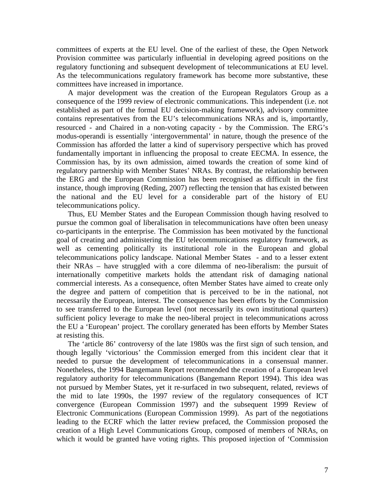committees of experts at the EU level. One of the earliest of these, the Open Network Provision committee was particularly influential in developing agreed positions on the regulatory functioning and subsequent development of telecommunications at EU level. As the telecommunications regulatory framework has become more substantive, these committees have increased in importance.

A major development was the creation of the European Regulators Group as a consequence of the 1999 review of electronic communications. This independent (i.e. not established as part of the formal EU decision-making framework), advisory committee contains representatives from the EU's telecommunications NRAs and is, importantly, resourced - and Chaired in a non-voting capacity - by the Commission. The ERG's modus-operandi is essentially 'intergovernmental' in nature, though the presence of the Commission has afforded the latter a kind of supervisory perspective which has proved fundamentally important in influencing the proposal to create EECMA. In essence, the Commission has, by its own admission, aimed towards the creation of some kind of regulatory partnership with Member States' NRAs. By contrast, the relationship between the ERG and the European Commission has been recognised as difficult in the first instance, though improving (Reding, 2007) reflecting the tension that has existed between the national and the EU level for a considerable part of the history of EU telecommunications policy.

Thus, EU Member States and the European Commission though having resolved to pursue the common goal of liberalisation in telecommunications have often been uneasy co-participants in the enterprise. The Commission has been motivated by the functional goal of creating and administering the EU telecommunications regulatory framework, as well as cementing politically its institutional role in the European and global telecommunications policy landscape. National Member States - and to a lesser extent their NRAs – have struggled with a core dilemma of neo-liberalism: the pursuit of internationally competitive markets holds the attendant risk of damaging national commercial interests. As a consequence, often Member States have aimed to create only the degree and pattern of competition that is perceived to be in the national, not necessarily the European, interest. The consequence has been efforts by the Commission to see transferred to the European level (not necessarily its own institutional quarters) sufficient policy leverage to make the neo-liberal project in telecommunications across the EU a 'European' project. The corollary generated has been efforts by Member States at resisting this.

The 'article 86' controversy of the late 1980s was the first sign of such tension, and though legally 'victorious' the Commission emerged from this incident clear that it needed to pursue the development of telecommunications in a consensual manner. Nonetheless, the 1994 Bangemann Report recommended the creation of a European level regulatory authority for telecommunications (Bangemann Report 1994). This idea was not pursued by Member States, yet it re-surfaced in two subsequent, related, reviews of the mid to late 1990s, the 1997 review of the regulatory consequences of ICT convergence (European Commission 1997) and the subsequent 1999 Review of Electronic Communications (European Commission 1999). As part of the negotiations leading to the ECRF which the latter review prefaced, the Commission proposed the creation of a High Level Communications Group, composed of members of NRAs, on which it would be granted have voting rights. This proposed injection of 'Commission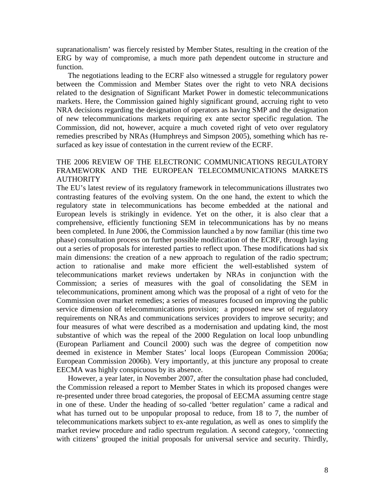supranationalism' was fiercely resisted by Member States, resulting in the creation of the ERG by way of compromise, a much more path dependent outcome in structure and function.

The negotiations leading to the ECRF also witnessed a struggle for regulatory power between the Commission and Member States over the right to veto NRA decisions related to the designation of Significant Market Power in domestic telecommunications markets. Here, the Commission gained highly significant ground, accruing right to veto NRA decisions regarding the designation of operators as having SMP and the designation of new telecommunications markets requiring ex ante sector specific regulation. The Commission, did not, however, acquire a much coveted right of veto over regulatory remedies prescribed by NRAs (Humphreys and Simpson 2005), something which has resurfaced as key issue of contestation in the current review of the ECRF.

## THE 2006 REVIEW OF THE ELECTRONIC COMMUNICATIONS REGULATORY FRAMEWORK AND THE EUROPEAN TELECOMMUNICATIONS MARKETS **AUTHORITY**

The EU's latest review of its regulatory framework in telecommunications illustrates two contrasting features of the evolving system. On the one hand, the extent to which the regulatory state in telecommunications has become embedded at the national and European levels is strikingly in evidence. Yet on the other, it is also clear that a comprehensive, efficiently functioning SEM in telecommunications has by no means been completed. In June 2006, the Commission launched a by now familiar (this time two phase) consultation process on further possible modification of the ECRF, through laying out a series of proposals for interested parties to reflect upon. These modifications had six main dimensions: the creation of a new approach to regulation of the radio spectrum; action to rationalise and make more efficient the well-established system of telecommunications market reviews undertaken by NRAs in conjunction with the Commission; a series of measures with the goal of consolidating the SEM in telecommunications, prominent among which was the proposal of a right of veto for the Commission over market remedies; a series of measures focused on improving the public service dimension of telecommunications provision; a proposed new set of regulatory requirements on NRAs and communications services providers to improve security; and four measures of what were described as a modernisation and updating kind, the most substantive of which was the repeal of the 2000 Regulation on local loop unbundling (European Parliament and Council 2000) such was the degree of competition now deemed in existence in Member States' local loops (European Commission 2006a; European Commission 2006b). Very importantly, at this juncture any proposal to create EECMA was highly conspicuous by its absence.

However, a year later, in November 2007, after the consultation phase had concluded, the Commission released a report to Member States in which its proposed changes were re-presented under three broad categories, the proposal of EECMA assuming centre stage in one of these. Under the heading of so-called 'better regulation' came a radical and what has turned out to be unpopular proposal to reduce, from 18 to 7, the number of telecommunications markets subject to ex-ante regulation, as well as ones to simplify the market review procedure and radio spectrum regulation. A second category, 'connecting with citizens' grouped the initial proposals for universal service and security. Thirdly,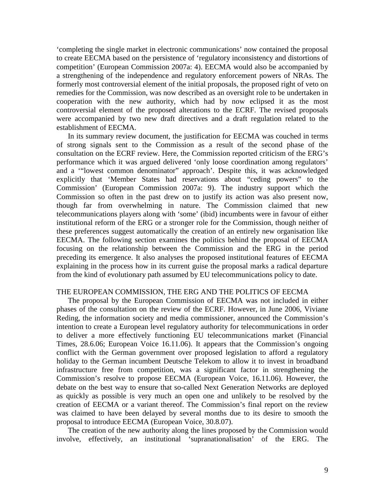'completing the single market in electronic communications' now contained the proposal to create EECMA based on the persistence of 'regulatory inconsistency and distortions of competition' (European Commission 2007a: 4). EECMA would also be accompanied by a strengthening of the independence and regulatory enforcement powers of NRAs. The formerly most controversial element of the initial proposals, the proposed right of veto on remedies for the Commission, was now described as an oversight role to be undertaken in cooperation with the new authority, which had by now eclipsed it as the most controversial element of the proposed alterations to the ECRF. The revised proposals were accompanied by two new draft directives and a draft regulation related to the establishment of EECMA.

In its summary review document, the justification for EECMA was couched in terms of strong signals sent to the Commission as a result of the second phase of the consultation on the ECRF review. Here, the Commission reported criticism of the ERG's performance which it was argued delivered 'only loose coordination among regulators' and a '"lowest common denominator" approach'. Despite this, it was acknowledged explicitly that 'Member States had reservations about "ceding powers" to the Commission' (European Commission 2007a: 9). The industry support which the Commission so often in the past drew on to justify its action was also present now, though far from overwhelming in nature. The Commission claimed that new telecommunications players along with 'some' (ibid) incumbents were in favour of either institutional reform of the ERG or a stronger role for the Commission, though neither of these preferences suggest automatically the creation of an entirely new organisation like EECMA. The following section examines the politics behind the proposal of EECMA focusing on the relationship between the Commission and the ERG in the period preceding its emergence. It also analyses the proposed institutional features of EECMA explaining in the process how in its current guise the proposal marks a radical departure from the kind of evolutionary path assumed by EU telecommunications policy to date.

#### THE EUROPEAN COMMISSION, THE ERG AND THE POLITICS OF EECMA

The proposal by the European Commission of EECMA was not included in either phases of the consultation on the review of the ECRF. However, in June 2006, Viviane Reding, the information society and media commissioner, announced the Commission's intention to create a European level regulatory authority for telecommunications in order to deliver a more effectively functioning EU telecommunications market (Financial Times, 28.6.06; European Voice 16.11.06). It appears that the Commission's ongoing conflict with the German government over proposed legislation to afford a regulatory holiday to the German incumbent Deutsche Telekom to allow it to invest in broadband infrastructure free from competition, was a significant factor in strengthening the Commission's resolve to propose EECMA (European Voice, 16.11.06). However, the debate on the best way to ensure that so-called Next Generation Networks are deployed as quickly as possible is very much an open one and unlikely to be resolved by the creation of EECMA or a variant thereof. The Commission's final report on the review was claimed to have been delayed by several months due to its desire to smooth the proposal to introduce EECMA (European Voice, 30.8.07).

The creation of the new authority along the lines proposed by the Commission would involve, effectively, an institutional 'supranationalisation' of the ERG. The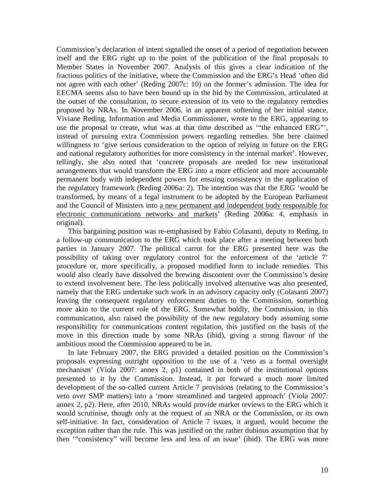Commission's declaration of intent signalled the onset of a period of negotiation between itself and the ERG right up to the point of the publication of the final proposals to Member States in November 2007. Analysis of this gives a clear indication of the fractious politics of the initiative, where the Commission and the ERG's Head 'often did not agree with each other' (Reding 2007c: 10) on the former's admission. The idea for EECMA seems also to have been bound up in the bid by the Commission, articulated at the outset of the consultation, to secure extension of its veto to the regulatory remedies proposed by NRAs. In November 2006, in an apparent softening of her initial stance, Viviane Reding, Information and Media Commissioner, wrote to the ERG, appearing to use the proposal to create, what was at that time described as '"the enhanced ERG"', instead of pursuing extra Commission powers regarding remedies. She here claimed willingness to 'give serious consideration to the option of relying in future on the ERG and national regulatory authorities for more consistency in the internal market'. However, tellingly, she also noted that 'concrete proposals are needed for new institutional arrangements that would transform the ERG into a more efficient and more accountable permanent body with independent powers for ensuing consistency in the application of the regulatory framework (Reding 2006a: 2). The intention was that the ERG 'would be transformed, by means of a legal instrument to be adopted by the European Parliament and the Council of Ministers into a new permanent and independent body responsible for electronic communications networks and markets' (Reding 2006a: 4, emphasis in original).

This bargaining position was re-emphasised by Fabio Colasanti, deputy to Reding, in a follow-up communication to the ERG which took place after a meeting between both parties in January 2007. The political carrot for the ERG presented here was the possibility of taking over regulatory control for the enforcement of the 'article 7' procedure or, more specifically, a proposed modified form to include remedies. This would also clearly have dissolved the brewing discontent over the Commission's desire to extend involvement here. The less politically involved alternative was also presented, namely that the ERG undertake such work in an advisory capacity only (Colasanti 2007) leaving the consequent regulatory enforcement duties to the Commission, something more akin to the current role of the ERG. Somewhat boldly, the Commission, in this communication, also raised the possibility of the new regulatory body assuming some responsibility for communications content regulation, this justified on the basis of the move in this direction made by some NRAs (ibid), giving a strong flavour of the ambitious mood the Commission appeared to be in.

In late February 2007, the ERG provided a detailed position on the Commission's proposals expressing outright opposition to the use of a 'veto as a formal oversight mechanism' (Viola 2007: annex 2, p1) contained in both of the institutional options presented to it by the Commission. Instead, it put forward a much more limited development of the so-called current Article 7 provisions (relating to the Commission's veto over SMP matters) into a 'more streamlined and targeted approach' (Viola 2007: annex 2, p2). Here, after 2010, NRAs would provide market reviews to the ERG which it would scrutinise, though only at the request of an NRA or the Commission, or its own self-initiative. In fact, consideration of Article 7 issues, it argued, would become the exception rather than the rule. This was justified on the rather dubious assumption that by then '"consistency" will become less and less of an issue' (ibid). The ERG was more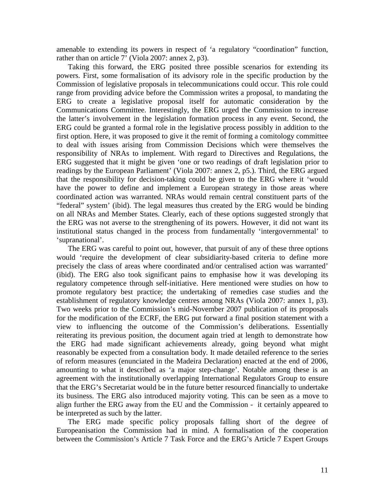amenable to extending its powers in respect of 'a regulatory "coordination" function, rather than on article 7' (Viola 2007: annex 2, p3).

Taking this forward, the ERG posited three possible scenarios for extending its powers. First, some formalisation of its advisory role in the specific production by the Commission of legislative proposals in telecommunications could occur. This role could range from providing advice before the Commission writes a proposal, to mandating the ERG to create a legislative proposal itself for automatic consideration by the Communications Committee. Interestingly, the ERG urged the Commission to increase the latter's involvement in the legislation formation process in any event. Second, the ERG could be granted a formal role in the legislative process possibly in addition to the first option. Here, it was proposed to give it the remit of forming a comitology committee to deal with issues arising from Commission Decisions which were themselves the responsibility of NRAs to implement. With regard to Directives and Regulations, the ERG suggested that it might be given 'one or two readings of draft legislation prior to readings by the European Parliament' (Viola 2007: annex 2, p5.). Third, the ERG argued that the responsibility for decision-taking could be given to the ERG where it 'would have the power to define and implement a European strategy in those areas where coordinated action was warranted. NRAs would remain central constituent parts of the "federal" system' (ibid). The legal measures thus created by the ERG would be binding on all NRAs and Member States. Clearly, each of these options suggested strongly that the ERG was not averse to the strengthening of its powers. However, it did not want its institutional status changed in the process from fundamentally 'intergovernmental' to 'supranational'.

The ERG was careful to point out, however, that pursuit of any of these three options would 'require the development of clear subsidiarity-based criteria to define more precisely the class of areas where coordinated and/or centralised action was warranted' (ibid). The ERG also took significant pains to emphasise how it was developing its regulatory competence through self-initiative. Here mentioned were studies on how to promote regulatory best practice; the undertaking of remedies case studies and the establishment of regulatory knowledge centres among NRAs (Viola 2007: annex 1, p3). Two weeks prior to the Commission's mid-November 2007 publication of its proposals for the modification of the ECRF, the ERG put forward a final position statement with a view to influencing the outcome of the Commission's deliberations. Essentially reiterating its previous position, the document again tried at length to demonstrate how the ERG had made significant achievements already, going beyond what might reasonably be expected from a consultation body. It made detailed reference to the series of reform measures (enunciated in the Madeira Declaration) enacted at the end of 2006, amounting to what it described as 'a major step-change'. Notable among these is an agreement with the institutionally overlapping International Regulators Group to ensure that the ERG's Secretariat would be in the future better resourced financially to undertake its business. The ERG also introduced majority voting. This can be seen as a move to align further the ERG away from the EU and the Commission - it certainly appeared to be interpreted as such by the latter.

The ERG made specific policy proposals falling short of the degree of Europeanisation the Commission had in mind. A formalisation of the cooperation between the Commission's Article 7 Task Force and the ERG's Article 7 Expert Groups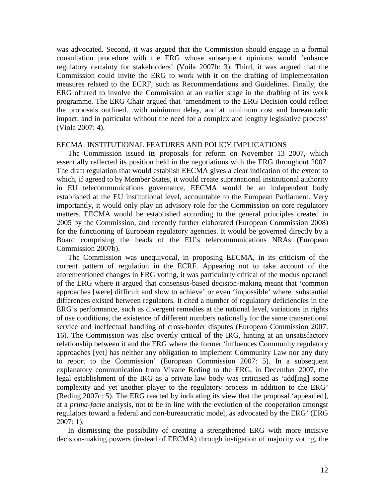was advocated. Second, it was argued that the Commission should engage in a formal consultation procedure with the ERG whose subsequent opinions would 'enhance regulatory certainty for stakeholders' (Voila 2007b: 3). Third, it was argued that the Commission could invite the ERG to work with it on the drafting of implementation measures related to the ECRF, such as Recommendations and Guidelines. Finally, the ERG offered to involve the Commission at an earlier stage in the drafting of its work programme. The ERG Chair argued that 'amendment to the ERG Decision could reflect the proposals outlined…with minimum delay, and at minimum cost and bureaucratic impact, and in particular without the need for a complex and lengthy legislative process' (Viola 2007: 4).

## EECMA: INSTITUTIONAL FEATURES AND POLICY IMPLICATIONS

The Commission issued its proposals for reform on November 13 2007, which essentially reflected its position held in the negotiations with the ERG throughout 2007. The draft regulation that would establish EECMA gives a clear indication of the extent to which, if agreed to by Member States, it would create supranational institutional authority in EU telecommunications governance. EECMA would be an independent body established at the EU institutional level, accountable to the European Parliament. Very importantly, it would only play an advisory role for the Commission on core regulatory matters. EECMA would be established according to the general principles created in 2005 by the Commission, and recently further elaborated (European Commission 2008) for the functioning of European regulatory agencies. It would be governed directly by a Board comprising the heads of the EU's telecommunications NRAs (European Commission 2007b).

The Commission was unequivocal, in proposing EECMA, in its criticism of the current pattern of regulation in the ECRF. Appearing not to take account of the aforementioned changes in ERG voting, it was particularly critical of the modus operandi of the ERG where it argued that consensus-based decision-making meant that 'common approaches [were] difficult and slow to achieve' or even 'impossible' where substantial differences existed between regulators. It cited a number of regulatory deficiencies in the ERG's performance, such as divergent remedies at the national level, variations in rights of use conditions, the existence of different numbers nationally for the same transnational service and ineffectual handling of cross-border disputes (European Commission 2007: 16). The Commission was also overtly critical of the IRG, hinting at an unsatisfactory relationship between it and the ERG where the former 'influences Community regulatory approaches [yet] has neither any obligation to implement Community Law nor any duty to report to the Commission' (European Commission 2007: 5). In a subsequent explanatory communication from Vivane Reding to the ERG, in December 2007, the legal establishment of the IRG as a private law body was criticised as 'add[ing] some complexity and yet another player to the regulatory process in addition to the ERG' (Reding 2007c: 5). The ERG reacted by indicating its view that the proposal 'appear[ed], at a *prima-facie* analysis, not to be in line with the evolution of the cooperation amongst regulators toward a federal and non-bureaucratic model, as advocated by the ERG' (ERG 2007: 1).

In dismissing the possibility of creating a strengthened ERG with more incisive decision-making powers (instead of EECMA) through instigation of majority voting, the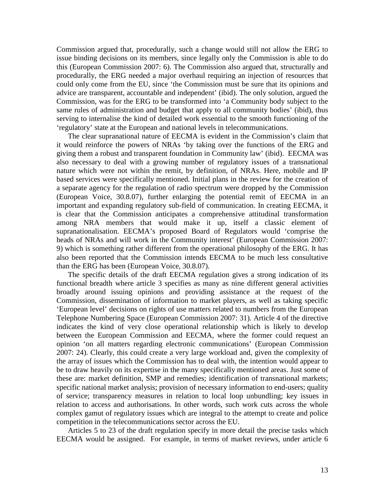Commission argued that, procedurally, such a change would still not allow the ERG to issue binding decisions on its members, since legally only the Commission is able to do this (European Commission 2007: 6). The Commission also argued that, structurally and procedurally, the ERG needed a major overhaul requiring an injection of resources that could only come from the EU, since 'the Commission must be sure that its opinions and advice are transparent, accountable and independent' (ibid). The only solution, argued the Commission, was for the ERG to be transformed into 'a Community body subject to the same rules of administration and budget that apply to all community bodies' (ibid), thus serving to internalise the kind of detailed work essential to the smooth functioning of the 'regulatory' state at the European and national levels in telecommunications.

The clear supranational nature of EECMA is evident in the Commission's claim that it would reinforce the powers of NRAs 'by taking over the functions of the ERG and giving them a robust and transparent foundation in Community law' (ibid). EECMA was also necessary to deal with a growing number of regulatory issues of a transnational nature which were not within the remit, by definition, of NRAs. Here, mobile and IP based services were specifically mentioned. Initial plans in the review for the creation of a separate agency for the regulation of radio spectrum were dropped by the Commission (European Voice, 30.8.07), further enlarging the potential remit of EECMA in an important and expanding regulatory sub-field of communication. In creating EECMA, it is clear that the Commission anticipates a comprehensive attitudinal transformation among NRA members that would make it up, itself a classic element of supranationalisation. EECMA's proposed Board of Regulators would 'comprise the heads of NRAs and will work in the Community interest' (European Commission 2007: 9) which is something rather different from the operational philosophy of the ERG. It has also been reported that the Commission intends EECMA to be much less consultative than the ERG has been (European Voice, 30.8.07).

The specific details of the draft EECMA regulation gives a strong indication of its functional breadth where article 3 specifies as many as nine different general activities broadly around issuing opinions and providing assistance at the request of the Commission, dissemination of information to market players, as well as taking specific 'European level' decisions on rights of use matters related to numbers from the European Telephone Numbering Space (European Commission 2007: 31). Article 4 of the directive indicates the kind of very close operational relationship which is likely to develop between the European Commission and EECMA, where the former could request an opinion 'on all matters regarding electronic communications' (European Commission 2007: 24). Clearly, this could create a very large workload and, given the complexity of the array of issues which the Commission has to deal with, the intention would appear to be to draw heavily on its expertise in the many specifically mentioned areas. Just some of these are: market definition, SMP and remedies; identification of transnational markets; specific national market analysis; provision of necessary information to end-users; quality of service; transparency measures in relation to local loop unbundling; key issues in relation to access and authorisations. In other words, such work cuts across the whole complex gamut of regulatory issues which are integral to the attempt to create and police competition in the telecommunications sector across the EU.

Articles 5 to 23 of the draft regulation specify in more detail the precise tasks which EECMA would be assigned. For example, in terms of market reviews, under article 6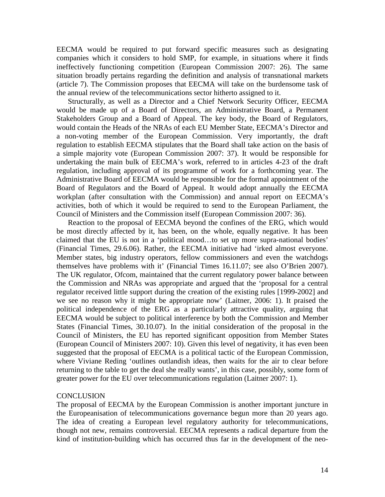EECMA would be required to put forward specific measures such as designating companies which it considers to hold SMP, for example, in situations where it finds ineffectively functioning competition (European Commission 2007: 26). The same situation broadly pertains regarding the definition and analysis of transnational markets (article 7). The Commission proposes that EECMA will take on the burdensome task of the annual review of the telecommunications sector hitherto assigned to it.

Structurally, as well as a Director and a Chief Network Security Officer, EECMA would be made up of a Board of Directors, an Administrative Board, a Permanent Stakeholders Group and a Board of Appeal. The key body, the Board of Regulators, would contain the Heads of the NRAs of each EU Member State, EECMA's Director and a non-voting member of the European Commission. Very importantly, the draft regulation to establish EECMA stipulates that the Board shall take action on the basis of a simple majority vote (European Commission 2007: 37). It would be responsible for undertaking the main bulk of EECMA's work, referred to in articles 4-23 of the draft regulation, including approval of its programme of work for a forthcoming year. The Administrative Board of EECMA would be responsible for the formal appointment of the Board of Regulators and the Board of Appeal. It would adopt annually the EECMA workplan (after consultation with the Commission) and annual report on EECMA's activities, both of which it would be required to send to the European Parliament, the Council of Ministers and the Commission itself (European Commission 2007: 36).

Reaction to the proposal of EECMA beyond the confines of the ERG, which would be most directly affected by it, has been, on the whole, equally negative. It has been claimed that the EU is not in a 'political mood…to set up more supra-national bodies' (Financial Times, 29.6.06). Rather, the EECMA initiative had 'irked almost everyone. Member states, big industry operators, fellow commissioners and even the watchdogs themselves have problems with it' (Financial Times 16.11.07; see also O'Brien 2007). The UK regulator, Ofcom, maintained that the current regulatory power balance between the Commission and NRAs was appropriate and argued that the 'proposal for a central regulator received little support during the creation of the existing rules [1999-2002] and we see no reason why it might be appropriate now' (Laitner, 2006: 1). It praised the political independence of the ERG as a particularly attractive quality, arguing that EECMA would be subject to political interference by both the Commission and Member States (Financial Times, 30.10.07). In the initial consideration of the proposal in the Council of Ministers, the EU has reported significant opposition from Member States (European Council of Ministers 2007: 10). Given this level of negativity, it has even been suggested that the proposal of EECMA is a political tactic of the European Commission, where Viviane Reding 'outlines outlandish ideas, then waits for the air to clear before returning to the table to get the deal she really wants', in this case, possibly, some form of greater power for the EU over telecommunications regulation (Laitner 2007: 1).

## **CONCLUSION**

The proposal of EECMA by the European Commission is another important juncture in the Europeanisation of telecommunications governance begun more than 20 years ago. The idea of creating a European level regulatory authority for telecommunications, though not new, remains controversial. EECMA represents a radical departure from the kind of institution-building which has occurred thus far in the development of the neo-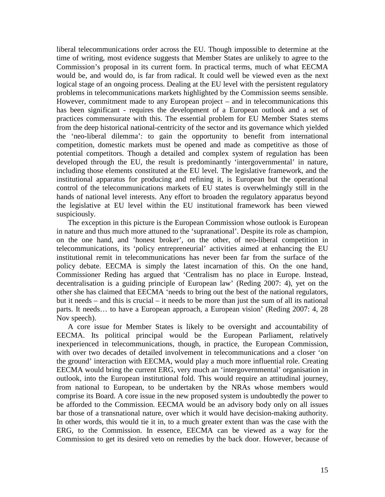liberal telecommunications order across the EU. Though impossible to determine at the time of writing, most evidence suggests that Member States are unlikely to agree to the Commission's proposal in its current form. In practical terms, much of what EECMA would be, and would do, is far from radical. It could well be viewed even as the next logical stage of an ongoing process. Dealing at the EU level with the persistent regulatory problems in telecommunications markets highlighted by the Commission seems sensible. However, commitment made to any European project – and in telecommunications this has been significant - requires the development of a European outlook and a set of practices commensurate with this. The essential problem for EU Member States stems from the deep historical national-centricity of the sector and its governance which yielded the 'neo-liberal dilemma': to gain the opportunity to benefit from international competition, domestic markets must be opened and made as competitive as those of potential competitors. Though a detailed and complex system of regulation has been developed through the EU, the result is predominantly 'intergovernmental' in nature, including those elements constituted at the EU level. The legislative framework, and the institutional apparatus for producing and refining it, is European but the operational control of the telecommunications markets of EU states is overwhelmingly still in the hands of national level interests. Any effort to broaden the regulatory apparatus beyond the legislative at EU level within the EU institutional framework has been viewed suspiciously.

The exception in this picture is the European Commission whose outlook is European in nature and thus much more attuned to the 'supranational'. Despite its role as champion, on the one hand, and 'honest broker', on the other, of neo-liberal competition in telecommunications, its 'policy entrepreneurial' activities aimed at enhancing the EU institutional remit in telecommunications has never been far from the surface of the policy debate. EECMA is simply the latest incarnation of this. On the one hand, Commissioner Reding has argued that 'Centralism has no place in Europe. Instead, decentralisation is a guiding principle of European law' (Reding 2007: 4), yet on the other she has claimed that EECMA 'needs to bring out the best of the national regulators, but it needs – and this is crucial – it needs to be more than just the sum of all its national parts. It needs… to have a European approach, a European vision' (Reding 2007: 4, 28 Nov speech).

A core issue for Member States is likely to be oversight and accountability of EECMA. Its political principal would be the European Parliament, relatively inexperienced in telecommunications, though, in practice, the European Commission, with over two decades of detailed involvement in telecommunications and a closer 'on the ground' interaction with EECMA, would play a much more influential role. Creating EECMA would bring the current ERG, very much an 'intergovernmental' organisation in outlook, into the European institutional fold. This would require an attitudinal journey, from national to European, to be undertaken by the NRAs whose members would comprise its Board. A core issue in the new proposed system is undoubtedly the power to be afforded to the Commission. EECMA would be an advisory body only on all issues bar those of a transnational nature, over which it would have decision-making authority. In other words, this would tie it in, to a much greater extent than was the case with the ERG, to the Commission. In essence, EECMA can be viewed as a way for the Commission to get its desired veto on remedies by the back door. However, because of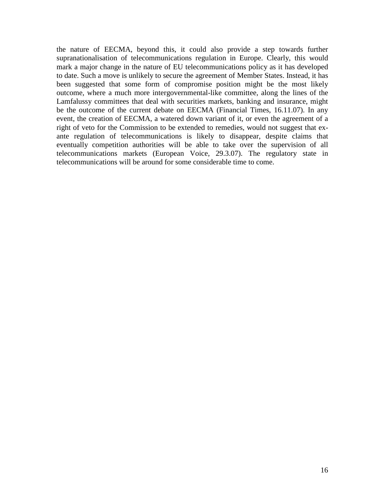the nature of EECMA, beyond this, it could also provide a step towards further supranationalisation of telecommunications regulation in Europe. Clearly, this would mark a major change in the nature of EU telecommunications policy as it has developed to date. Such a move is unlikely to secure the agreement of Member States. Instead, it has been suggested that some form of compromise position might be the most likely outcome, where a much more intergovernmental-like committee, along the lines of the Lamfalussy committees that deal with securities markets, banking and insurance, might be the outcome of the current debate on EECMA (Financial Times, 16.11.07). In any event, the creation of EECMA, a watered down variant of it, or even the agreement of a right of veto for the Commission to be extended to remedies, would not suggest that exante regulation of telecommunications is likely to disappear, despite claims that eventually competition authorities will be able to take over the supervision of all telecommunications markets (European Voice, 29.3.07). The regulatory state in telecommunications will be around for some considerable time to come.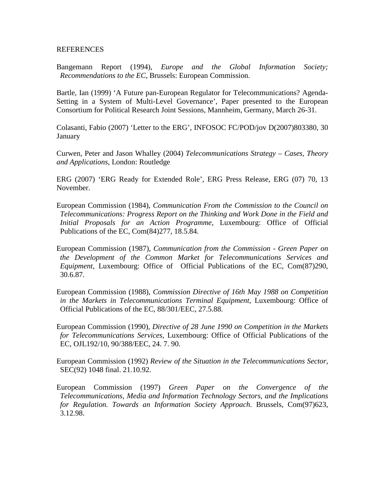## **REFERENCES**

Bangemann Report (1994), *Europe and the Global Information Society; Recommendations to the EC*, Brussels: European Commission.

Bartle, Ian (1999) 'A Future pan-European Regulator for Telecommunications? Agenda-Setting in a System of Multi-Level Governance', Paper presented to the European Consortium for Political Research Joint Sessions, Mannheim, Germany, March 26-31.

Colasanti, Fabio (2007) 'Letter to the ERG', INFOSOC FC/POD/jov D(2007)803380, 30 January

Curwen, Peter and Jason Whalley (2004) *Telecommunications Strategy – Cases, Theory and Applications*, London: Routledge

ERG (2007) 'ERG Ready for Extended Role', ERG Press Release, ERG (07) 70, 13 November.

European Commission (1984), *Communication From the Commission to the Council on Telecommunications: Progress Report on the Thinking and Work Done in the Field and Initial Proposals for an Action Programme*, Luxembourg: Office of Official Publications of the EC, Com(84)277, 18.5.84.

European Commission (1987), *Communication from the Commission - Green Paper on the Development of the Common Market for Telecommunications Services and Equipment*, Luxembourg: Office of Official Publications of the EC, Com(87)290, 30.6.87.

European Commission (1988), *Commission Directive of 16th May 1988 on Competition in the Markets in Telecommunications Terminal Equipment*, Luxembourg: Office of Official Publications of the EC, 88/301/EEC, 27.5.88.

European Commission (1990), *Directive of 28 June 1990 on Competition in the Markets for Telecommunications Services*, Luxembourg: Office of Official Publications of the EC, OJL192/10, 90/388/EEC, 24. 7. 90.

European Commission (1992) *Review of the Situation in the Telecommunications Sector*, SEC(92) 1048 final. 21.10.92.

European Commission (1997) *Green Paper on the Convergence of the Telecommunications, Media and Information Technology Sectors, and the Implications for Regulation. Towards an Information Society Approach*. Brussels, Com(97)623, 3.12.98.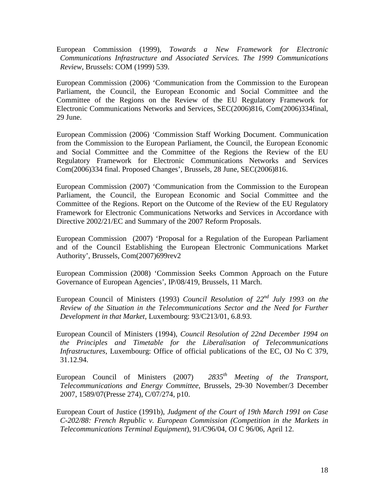European Commission (1999), *Towards a New Framework for Electronic Communications Infrastructure and Associated Services. The 1999 Communications Review*, Brussels: COM (1999) 539.

European Commission (2006) 'Communication from the Commission to the European Parliament, the Council, the European Economic and Social Committee and the Committee of the Regions on the Review of the EU Regulatory Framework for Electronic Communications Networks and Services, SEC(2006)816, Com(2006)334final, 29 June.

European Commission (2006) 'Commission Staff Working Document. Communication from the Commission to the European Parliament, the Council, the European Economic and Social Committee and the Committee of the Regions the Review of the EU Regulatory Framework for Electronic Communications Networks and Services Com(2006)334 final. Proposed Changes', Brussels, 28 June, SEC(2006)816.

European Commission (2007) 'Communication from the Commission to the European Parliament, the Council, the European Economic and Social Committee and the Committee of the Regions. Report on the Outcome of the Review of the EU Regulatory Framework for Electronic Communications Networks and Services in Accordance with Directive 2002/21/EC and Summary of the 2007 Reform Proposals.

European Commission (2007) 'Proposal for a Regulation of the European Parliament and of the Council Establishing the European Electronic Communications Market Authority', Brussels, Com(2007)699rev2

European Commission (2008) 'Commission Seeks Common Approach on the Future Governance of European Agencies', IP/08/419, Brussels, 11 March.

- European Council of Ministers (1993) *Council Resolution of 22nd July 1993 on the Review of the Situation in the Telecommunications Sector and the Need for Further Development in that Market,* Luxembourg: 93/C213/01, 6.8.93.
- European Council of Ministers (1994), *Council Resolution of 22nd December 1994 on the Principles and Timetable for the Liberalisation of Telecommunications Infrastructures*, Luxembourg: Office of official publications of the EC, OJ No C 379, 31.12.94.
- European Council of Ministers (2007) *2835th Meeting of the Transport, Telecommunications and Energy Committee*, Brussels, 29-30 November/3 December 2007, 1589/07(Presse 274), C/07/274, p10.

European Court of Justice (1991b), *Judgment of the Court of 19th March 1991 on Case C-202/88: French Republic v. European Commission (Competition in the Markets in Telecommunications Terminal Equipment*), 91/C96/04, OJ C 96/06, April 12.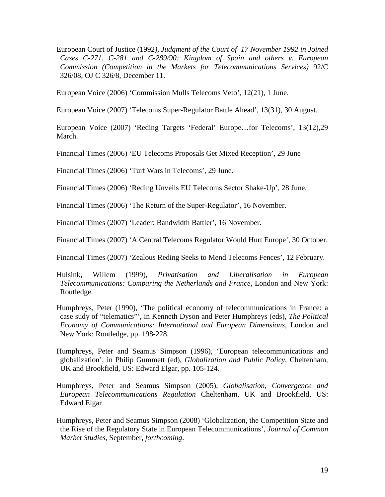European Court of Justice (1992*), Judgment of the Court of 17 November 1992 in Joined Cases C-271, C-281 and C-289/90: Kingdom of Spain and others v. European Commission (Competition in the Markets for Telecommunications Services)* 92/C 326/08, OJ C 326/8, December 11.

European Voice (2006) 'Commission Mulls Telecoms Veto', 12(21), 1 June.

European Voice (2007) 'Telecoms Super-Regulator Battle Ahead', 13(31), 30 August.

European Voice (2007) 'Reding Targets 'Federal' Europe…for Telecoms', 13(12),29 March.

Financial Times (2006) 'EU Telecoms Proposals Get Mixed Reception', 29 June

Financial Times (2006) 'Turf Wars in Telecoms', 29 June.

Financial Times (2006) 'Reding Unveils EU Telecoms Sector Shake-Up', 28 June.

Financial Times (2006) 'The Return of the Super-Regulator', 16 November.

Financial Times (2007) 'Leader: Bandwidth Battler', 16 November.

Financial Times (2007) 'A Central Telecoms Regulator Would Hurt Europe', 30 October.

Financial Times (2007) 'Zealous Reding Seeks to Mend Telecoms Fences', 12 February.

Hulsink, Willem (1999), *Privatisation and Liberalisation in European Telecommunications: Comparing the Netherlands and France*, London and New York: Routledge.

Humphreys, Peter (1990), 'The political economy of telecommunications in France: a case sudy of "telematics"', in Kenneth Dyson and Peter Humphreys (eds), *The Political Economy of Communications: International and European Dimensions*, London and New York: Routledge, pp. 198-228.

Humphreys, Peter and Seamus Simpson (1996), 'European telecommunications and globalization', in Philip Gummett (ed), *Globalization and Public Policy*, Cheltenham, UK and Brookfield, US: Edward Elgar, pp. 105-124.

Humphreys, Peter and Seamus Simpson (2005), *Globalisation, Convergence and European Telecommunications Regulation* Cheltenham, UK and Brookfield, US: Edward Elgar

Humphreys, Peter and Seamus Simpson (2008) 'Globalization, the Competition State and the Rise of the Regulatory State in European Telecommunications', *Journal of Common Market Studies*, September, *forthcoming*.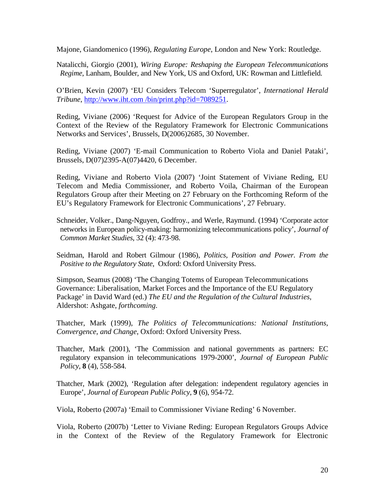Majone, Giandomenico (1996), *Regulating Europe*, London and New York: Routledge.

Natalicchi, Giorgio (2001), *Wiring Europe: Reshaping the European Telecommunications Regime*, Lanham, Boulder, and New York, US and Oxford, UK: Rowman and Littlefield.

O'Brien, Kevin (2007) 'EU Considers Telecom 'Superregulator', *International Herald Tribune*, http://www.iht.com [/bin/print.php?id=7089251.](http://www.iht.com/bin/print.php?id=7089251)

Reding, Viviane (2006) 'Request for Advice of the European Regulators Group in the Context of the Review of the Regulatory Framework for Electronic Communications Networks and Services', Brussels, D(2006)2685, 30 November.

Reding, Viviane (2007) 'E-mail Communication to Roberto Viola and Daniel Pataki', Brussels, D(07)2395-A(07)4420, 6 December.

Reding, Viviane and Roberto Viola (2007) 'Joint Statement of Viviane Reding, EU Telecom and Media Commissioner, and Roberto Voila, Chairman of the European Regulators Group after their Meeting on 27 February on the Forthcoming Reform of the EU's Regulatory Framework for Electronic Communications', 27 February.

Schneider, Volker., Dang-Nguyen, Godfroy., and Werle, Raymund. (1994) 'Corporate actor networks in European policy-making: harmonizing telecommunications policy', *Journal of Common Market Studies*, 32 (4): 473-98.

Seidman, Harold and Robert Gilmour (1986), *Politics, Position and Power. From the Positive to the Regulatory State*, Oxford: Oxford University Press.

Simpson, Seamus (2008) 'The Changing Totems of European Telecommunications Governance: Liberalisation, Market Forces and the Importance of the EU Regulatory Package' in David Ward (ed.) *The EU and the Regulation of the Cultural Industries*, Aldershot: Ashgate, *forthcoming*.

Thatcher, Mark (1999), *The Politics of Telecommunications: National Institutions, Convergence, and Change*, Oxford: Oxford University Press.

Thatcher, Mark (2001), 'The Commission and national governments as partners: EC regulatory expansion in telecommunications 1979-2000', *Journal of European Public Policy*, **8** (4), 558-584.

Thatcher, Mark (2002), 'Regulation after delegation: independent regulatory agencies in Europe', *Journal of European Public Policy*, **9** (6), 954-72.

Viola, Roberto (2007a) 'Email to Commissioner Viviane Reding' 6 November.

Viola, Roberto (2007b) 'Letter to Viviane Reding: European Regulators Groups Advice in the Context of the Review of the Regulatory Framework for Electronic